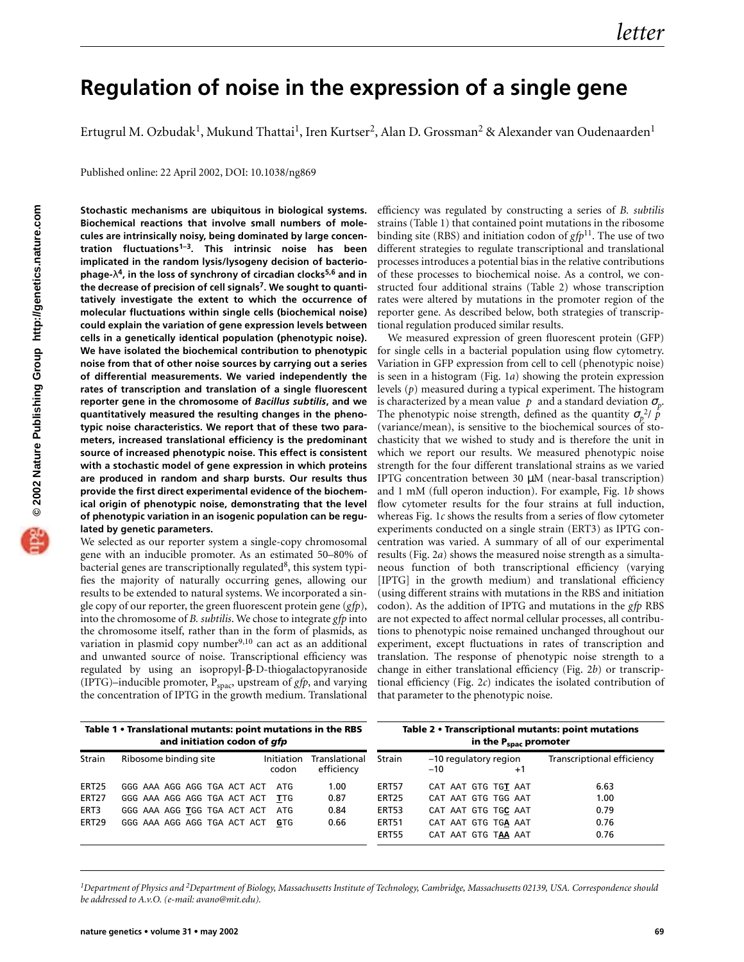## **Regulation of noise in the expression of a single gene**

Ertugrul M. Ozbudak<sup>1</sup>, Mukund Thattai<sup>1</sup>, Iren Kurtser<sup>2</sup>, Alan D. Grossman<sup>2</sup> & Alexander van Oudenaarden<sup>1</sup>

Published online: 22 April 2002, DOI: 10.1038/ng869

**Stochastic mechanisms are ubiquitous in biological systems. Biochemical reactions that involve small numbers of molecules are intrinsically noisy, being dominated by large concentration fluctuations1–3. This intrinsic noise has been implicated in the random lysis/lysogeny decision of bacteriophage-**λ**4, in the loss of synchrony of circadian clocks5,6 and in the decrease of precision of cell signals7. We sought to quantitatively investigate the extent to which the occurrence of molecular fluctuations within single cells (biochemical noise) could explain the variation of gene expression levels between cells in a genetically identical population (phenotypic noise). We have isolated the biochemical contribution to phenotypic noise from that of other noise sources by carrying out a series of differential measurements. We varied independently the rates of transcription and translation of a single fluorescent reporter gene in the chromosome of** *Bacillus subtilis***, and we quantitatively measured the resulting changes in the phenotypic noise characteristics. We report that of these two parameters, increased translational efficiency is the predominant source of increased phenotypic noise. This effect is consistent with a stochastic model of gene expression in which proteins are produced in random and sharp bursts. Our results thus provide the first direct experimental evidence of the biochemical origin of phenotypic noise, demonstrating that the level of phenotypic variation in an isogenic population can be regulated by genetic parameters.**

We selected as our reporter system a single-copy chromosomal gene with an inducible promoter. As an estimated 50–80% of bacterial genes are transcriptionally regulated<sup>8</sup>, this system typifies the majority of naturally occurring genes, allowing our results to be extended to natural systems. We incorporated a single copy of our reporter, the green fluorescent protein gene (*gfp*), into the chromosome of *B. subtilis*. We chose to integrate *gfp* into the chromosome itself, rather than in the form of plasmids, as variation in plasmid copy number $9,10$  can act as an additional and unwanted source of noise. Transcriptional efficiency was regulated by using an isopropyl-β-D-thiogalactopyranoside (IPTG)–inducible promoter,  $P_{\text{space}}$ , upstream of *gfp*, and varying the concentration of IPTG in the growth medium. Translational efficiency was regulated by constructing a series of *B. subtilis* strains (Table 1) that contained point mutations in the ribosome binding site (RBS) and initiation codon of *gfp*11. The use of two different strategies to regulate transcriptional and translational processes introduces a potential bias in the relative contributions of these processes to biochemical noise. As a control, we constructed four additional strains (Table 2) whose transcription rates were altered by mutations in the promoter region of the reporter gene. As described below, both strategies of transcriptional regulation produced similar results.

We measured expression of green fluorescent protein (GFP) for single cells in a bacterial population using flow cytometry. Variation in GFP expression from cell to cell (phenotypic noise) is seen in a histogram (Fig. 1*a*) showing the protein expression levels (*p*) measured during a typical experiment. The histogram is characterized by a mean value  $\langle p \rangle$  and a standard deviation  $\sigma_p$ . The phenotypic noise strength, defined as the quantity  $\sigma_p^2/\langle p \rangle$ (variance/mean), is sensitive to the biochemical sources of stochasticity that we wished to study and is therefore the unit in which we report our results. We measured phenotypic noise strength for the four different translational strains as we varied IPTG concentration between 30 µM (near-basal transcription) and 1 mM (full operon induction). For example, Fig. 1*b* shows flow cytometer results for the four strains at full induction, whereas Fig. 1*c* shows the results from a series of flow cytometer experiments conducted on a single strain (ERT3) as IPTG concentration was varied. A summary of all of our experimental results (Fig. 2*a*) shows the measured noise strength as a simultaneous function of both transcriptional efficiency (varying [IPTG] in the growth medium) and translational efficiency (using different strains with mutations in the RBS and initiation codon). As the addition of IPTG and mutations in the *gfp* RBS are not expected to affect normal cellular processes, all contributions to phenotypic noise remained unchanged throughout our experiment, except fluctuations in rates of transcription and translation. The response of phenotypic noise strength to a change in either translational efficiency (Fig. 2*b*) or transcriptional efficiency (Fig. 2*c*) indicates the isolated contribution of that parameter to the phenotypic noise.

| Table 1 • Translational mutants: point mutations in the RBS<br>and initiation codon of gfp |                             |                     |                             |              | Table 2 • Transcriptional mutants: point mutations<br>in the P <sub>spac</sub> promoter |                            |  |
|--------------------------------------------------------------------------------------------|-----------------------------|---------------------|-----------------------------|--------------|-----------------------------------------------------------------------------------------|----------------------------|--|
| Strain                                                                                     | Ribosome binding site       | Initiation<br>codon | Translational<br>efficiency | Strain       | -10 regulatory region<br>$-10^{-}$<br>$^{+1}$                                           | Transcriptional efficiency |  |
| ERT25                                                                                      | GGG AAA AGG AGG TGA ACT ACT | ATG                 | 1.00                        | ERT57        | CAT AAT GTG TGT AAT                                                                     | 6.63                       |  |
| <b>ERT27</b>                                                                               | GGG AAA AGG AGG TGA ACT ACT | TTG                 | 0.87                        | ERT25        | CAT AAT GTG TGG AAT                                                                     | 1.00                       |  |
| ERT3                                                                                       | GGG AAA AGG TGG TGA ACT ACT | ATG                 | 0.84                        | ERT53        | CAT AAT GTG TGC AAT                                                                     | 0.79                       |  |
| ERT29                                                                                      | GGG AAA AGG AGG TGA ACT ACT | GTG                 | 0.66                        | <b>ERT51</b> | CAT AAT GTG TGA AAT                                                                     | 0.76                       |  |
|                                                                                            |                             |                     |                             | <b>ERT55</b> | CAT AAT GTG TAA AAT                                                                     | 0.76                       |  |

*1Department of Physics and 2Department of Biology, Massachusetts Institute of Technology, Cambridge, Massachusetts 02139, USA. Correspondence should be addressed to A.v.O. (e-mail: avano@mit.edu).*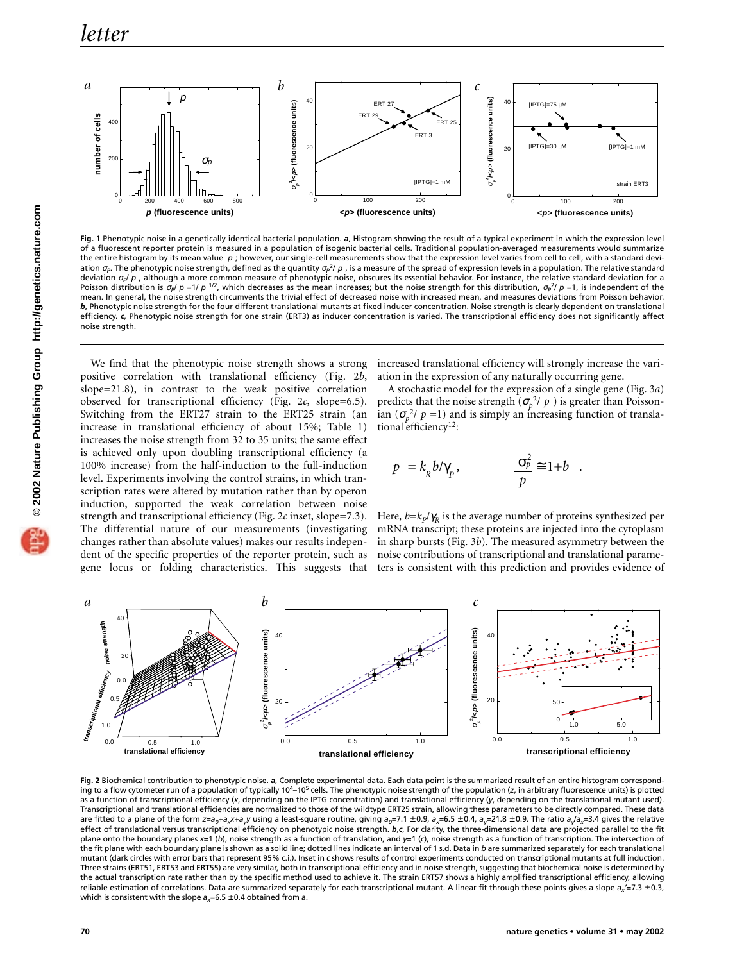

**Fig. 1** Phenotypic noise in a genetically identical bacterial population. *a*, Histogram showing the result of a typical experiment in which the expression level of a fluorescent reporter protein is measured in a population of isogenic bacterial cells. Traditional population-averaged measurements would summarize the entire histogram by its mean value (p); however, our single-cell measurements show that the expression level varies from cell to cell, with a standard deviation σ<sub>P</sub>. The phenotypic noise strength, defined as the quantity σ<sub>Ρ</sub>2/(*p*), is a measure of the spread of expression levels in a population. The relative standard deviation σ<sub>*P</sub>*/<sub></sub> $p$ ), although a more common measure of phenotypic noise, obscures its essential behavior. For instance, the relative standard deviation for a</sub> Poisson distribution is  $\sigma_p$ /(*p*)=1/(*p*)<sup>1/2</sup>, which decreases as the mean increases; but the noise strength for this distribution,  $\sigma_p$ <sup>2</sup>/(*p*)=1, is independent of the mean. In general, the noise strength circumvents the trivial effect of decreased noise with increased mean, and measures deviations from Poisson behavior. *b*, Phenotypic noise strength for the four different translational mutants at fixed inducer concentration. Noise strength is clearly dependent on translational efficiency. *c*, Phenotypic noise strength for one strain (ERT3) as inducer concentration is varied. The transcriptional efficiency does not significantly affect noise strength.

We find that the phenotypic noise strength shows a strong positive correlation with translational efficiency (Fig. 2*b*, slope=21.8), in contrast to the weak positive correlation observed for transcriptional efficiency (Fig. 2*c*, slope=6.5). Switching from the ERT27 strain to the ERT25 strain (an increase in translational efficiency of about 15%; Table 1) increases the noise strength from 32 to 35 units; the same effect is achieved only upon doubling transcriptional efficiency (a 100% increase) from the half-induction to the full-induction level. Experiments involving the control strains, in which transcription rates were altered by mutation rather than by operon induction, supported the weak correlation between noise strength and transcriptional efficiency (Fig. 2*c* inset, slope=7.3). The differential nature of our measurements (investigating changes rather than absolute values) makes our results independent of the specific properties of the reporter protein, such as gene locus or folding characteristics. This suggests that

increased translational efficiency will strongly increase the variation in the expression of any naturally occurring gene.

A stochastic model for the expression of a single gene (Fig. 3*a*) predicts that the noise strength  $(\sigma_p^2/\langle p \rangle)$  is greater than Poissonian  $(\sigma_p^2/\langle p \rangle=1)$  and is simply an increasing function of translational efficiency<sup>12</sup>:

$$
\langle p \rangle = k_R b / \gamma_p, \qquad \frac{\sigma_p^2}{\langle p \rangle} \cong 1 + b \quad .
$$

Here,  $b = k_p / \gamma_R$  is the average number of proteins synthesized per mRNA transcript; these proteins are injected into the cytoplasm in sharp bursts (Fig. 3*b*). The measured asymmetry between the noise contributions of transcriptional and translational parameters is consistent with this prediction and provides evidence of



**Fig. 2** Biochemical contribution to phenotypic noise. *a*, Complete experimental data. Each data point is the summarized result of an entire histogram corresponding to a flow cytometer run of a population of typically 10<sup>4</sup>–10<sup>5</sup> cells. The phenotypic noise strength of the population (*z*, in arbitrary fluorescence units) is plotted as a function of transcriptional efficiency (*x*, depending on the IPTG concentration) and translational efficiency (*y*, depending on the translational mutant used). Transcriptional and translational efficiencies are normalized to those of the wildtype ERT25 strain, allowing these parameters to be directly compared. These data are fitted to a plane of the form  $z=a_0+a_xx+a_yy$  using a least-square routine, giving  $a_0=7.1 \pm 0.9$ ,  $a_x=6.5 \pm 0.4$ ,  $a_y=21.8 \pm 0.9$ . The ratio  $a_y/a_x=3.4$  gives the relative effect of translational versus transcriptional efficiency on phenotypic noise strength. *b*,*c*, For clarity, the three-dimensional data are projected parallel to the fit plane onto the boundary planes *x*=1 (*b*), noise strength as a function of translation, and *y*=1 (*c*), noise strength as a function of transcription. The intersection of the fit plane with each boundary plane is shown as a solid line; dotted lines indicate an interval of 1 s.d. Data in *b* are summarized separately for each translational mutant (dark circles with error bars that represent 95% c.i.). Inset in *c* shows results of control experiments conducted on transcriptional mutants at full induction. Three strains (ERT51, ERT53 and ERT55) are very similar, both in transcriptional efficiency and in noise strength, suggesting that biochemical noise is determined by the actual transcription rate rather than by the specific method used to achieve it. The strain ERT57 shows a highly amplified transcriptional efficiency, allowing reliable estimation of correlations. Data are summarized separately for each transcriptional mutant. A linear fit through these points gives a slope *ax'*=7.3 ± 0.3, which is consistent with the slope  $a_x=6.5\pm0.4$  obtained from *a*.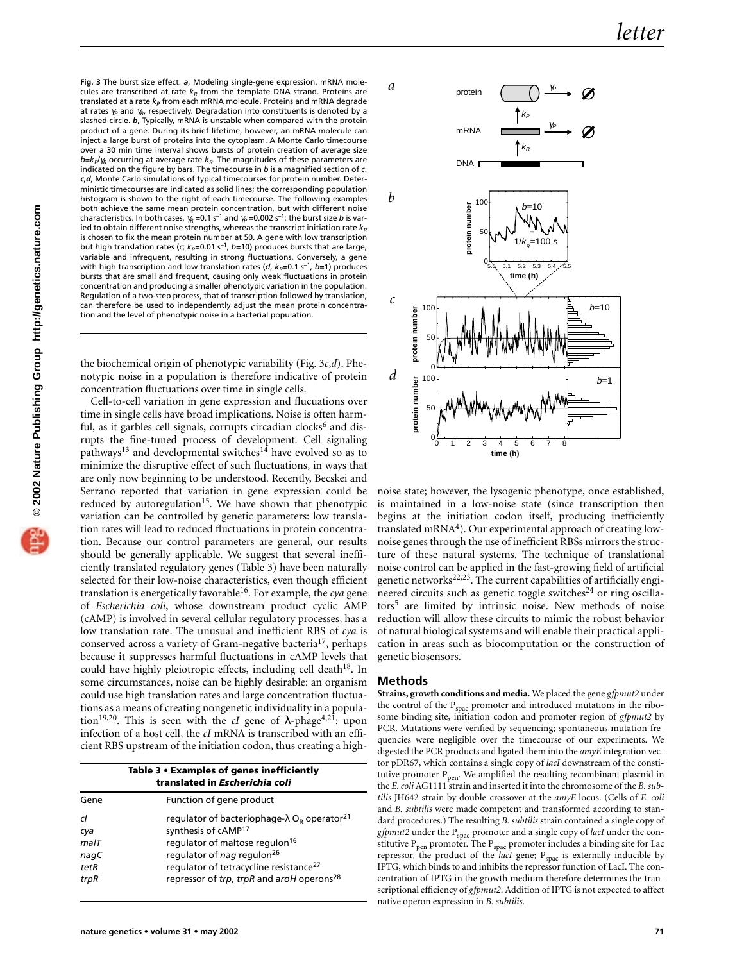**Fig. 3** The burst size effect. *a*, Modeling single-gene expression. mRNA molecules are transcribed at rate  $k_R$  from the template DNA strand. Proteins are translated at a rate  $k_P$  from each mRNA molecule. Proteins and mRNA degrade at rates  $γ<sub>P</sub>$  and  $γ<sub>R</sub>$ , respectively. Degradation into constituents is denoted by a slashed circle. *b*, Typically, mRNA is unstable when compared with the protein product of a gene. During its brief lifetime, however, an mRNA molecule can inject a large burst of proteins into the cytoplasm. A Monte Carlo timecourse over a 30 min time interval shows bursts of protein creation of average size *b*=*k<sub>P</sub>*/γ<sub>R</sub> occurring at average rate *k<sub>R</sub>*. The magnitudes of these parameters are indicated on the figure by bars. The timecourse in *b* is a magnified section of *c*. *c*,*d*, Monte Carlo simulations of typical timecourses for protein number. Deterministic timecourses are indicated as solid lines; the corresponding population histogram is shown to the right of each timecourse. The following examples both achieve the same mean protein concentration, but with different noise characteristics. In both cases,  $\gamma_R$  =0.1 s<sup>-1</sup> and  $\gamma_P$  =0.002 s<sup>-1</sup>; the burst size *b* is varied to obtain different noise strengths, whereas the transcript initiation rate  $k_R$ is chosen to fix the mean protein number at 50. A gene with low transcription but high translation rates (*c*;  $k_R$ =0.01 s<sup>-1</sup>, *b*=10) produces bursts that are large, variable and infrequent, resulting in strong fluctuations. Conversely, a gene with high transcription and low translation rates (*d*,  $k_R$ =0.1 s<sup>-1</sup>, *b*=1) produces bursts that are small and frequent, causing only weak fluctuations in protein concentration and producing a smaller phenotypic variation in the population. Regulation of a two-step process, that of transcription followed by translation, can therefore be used to independently adjust the mean protein concentration and the level of phenotypic noise in a bacterial population.

the biochemical origin of phenotypic variability (Fig. 3*c*,*d*). Phenotypic noise in a population is therefore indicative of protein concentration fluctuations over time in single cells.

Cell-to-cell variation in gene expression and flucuations over time in single cells have broad implications. Noise is often harmful, as it garbles cell signals, corrupts circadian clocks<sup>6</sup> and disrupts the fine-tuned process of development. Cell signaling pathways<sup>13</sup> and developmental switches<sup>14</sup> have evolved so as to minimize the disruptive effect of such fluctuations, in ways that are only now beginning to be understood. Recently, Becskei and Serrano reported that variation in gene expression could be reduced by autoregulation<sup>15</sup>. We have shown that phenotypic variation can be controlled by genetic parameters: low translation rates will lead to reduced fluctuations in protein concentration. Because our control parameters are general, our results should be generally applicable. We suggest that several inefficiently translated regulatory genes (Table 3) have been naturally selected for their low-noise characteristics, even though efficient translation is energetically favorable<sup>16</sup>. For example, the *cya* gene of *Escherichia coli*, whose downstream product cyclic AMP (cAMP) is involved in several cellular regulatory processes, has a low translation rate. The unusual and inefficient RBS of *cya* is conserved across a variety of Gram-negative bacteria<sup>17</sup>, perhaps because it suppresses harmful fluctuations in cAMP levels that could have highly pleiotropic effects, including cell death<sup>18</sup>. In some circumstances, noise can be highly desirable: an organism could use high translation rates and large concentration fluctuations as a means of creating nongenetic individuality in a population<sup>19,20</sup>. This is seen with the *cI* gene of  $\lambda$ -phage<sup>4,21</sup>: upon infection of a host cell, the *cI* mRNA is transcribed with an efficient RBS upstream of the initiation codon, thus creating a high-

|                                                 | Table 3 • Examples of genes inefficiently<br>translated in Escherichia coli                                                                                                                                                                                                                                           |
|-------------------------------------------------|-----------------------------------------------------------------------------------------------------------------------------------------------------------------------------------------------------------------------------------------------------------------------------------------------------------------------|
| Gene                                            | Function of gene product                                                                                                                                                                                                                                                                                              |
| cl<br>cya<br>$m$ al $T$<br>nagC<br>tetR<br>trpR | regulator of bacteriophage- $\lambda$ O <sub>R</sub> operator <sup>21</sup><br>synthesis of cAMP <sup>17</sup><br>regulator of maltose regulon <sup>16</sup><br>regulator of nag regulon <sup>26</sup><br>regulator of tetracycline resistance <sup>27</sup><br>repressor of trp, trpR and aroH operons <sup>28</sup> |



noise state; however, the lysogenic phenotype, once established, is maintained in a low-noise state (since transcription then begins at the initiation codon itself, producing inefficiently translated mRNA $4$ ). Our experimental approach of creating lownoise genes through the use of inefficient RBSs mirrors the structure of these natural systems. The technique of translational noise control can be applied in the fast-growing field of artificial genetic networks $22,23$ . The current capabilities of artificially engineered circuits such as genetic toggle switches $24$  or ring oscillators<sup>5</sup> are limited by intrinsic noise. New methods of noise reduction will allow these circuits to mimic the robust behavior of natural biological systems and will enable their practical application in areas such as biocomputation or the construction of genetic biosensors.

## **Methods**

**Strains, growth conditions and media.** We placed the gene *gfpmut2* under the control of the  $P_{\text{space}}$  promoter and introduced mutations in the ribosome binding site, initiation codon and promoter region of *gfpmut2* by PCR. Mutations were verified by sequencing; spontaneous mutation frequencies were negligible over the timecourse of our experiments. We digested the PCR products and ligated them into the *amyE* integration vector pDR67, which contains a single copy of *lacI* downstream of the constitutive promoter P<sub>pen</sub>. We amplified the resulting recombinant plasmid in the *E. coli* AG1111 strain and inserted it into the chromosome of the *B. subtilis* JH642 strain by double-crossover at the *amyE* locus. (Cells of *E. coli* and *B. subtilis* were made competent and transformed according to standard procedures.) The resulting *B. subtilis* strain contained a single copy of *gfpmut2* under the P<sub>spac</sub> promoter and a single copy of *lacI* under the constitutive  $P_{pen}$  promoter. The  $P_{spac}$  promoter includes a binding site for Lac repressor, the product of the *lacI* gene;  $P_{\text{spac}}$  is externally inducible by IPTG, which binds to and inhibits the repressor function of LacI. The concentration of IPTG in the growth medium therefore determines the transcriptional efficiency of *gfpmut2*. Addition of IPTG is not expected to affect native operon expression in *B. subtilis*.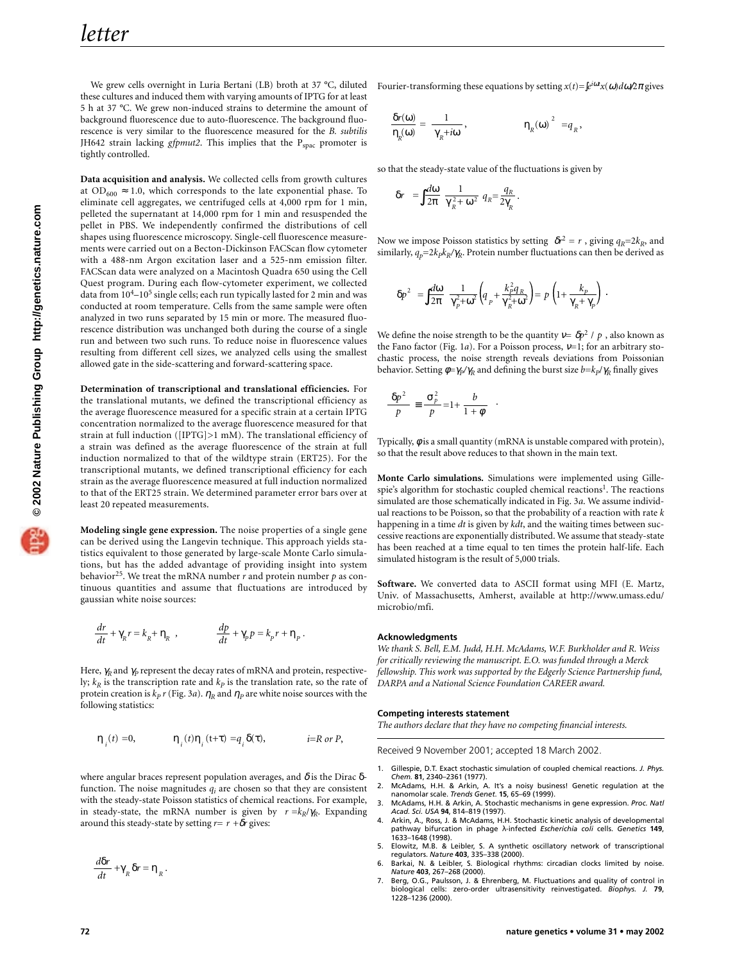We grew cells overnight in Luria Bertani (LB) broth at 37 °C, diluted these cultures and induced them with varying amounts of IPTG for at least 5 h at 37 °C. We grew non-induced strains to determine the amount of background fluorescence due to auto-fluorescence. The background fluorescence is very similar to the fluorescence measured for the *B. subtilis* JH642 strain lacking  $gfpmut2$ . This implies that the  $P_{space}$  promoter is tightly controlled.

**Data acquisition and analysis.** We collected cells from growth cultures at  $OD_{600} \approx 1.0$ , which corresponds to the late exponential phase. To eliminate cell aggregates, we centrifuged cells at 4,000 rpm for 1 min, pelleted the supernatant at 14,000 rpm for 1 min and resuspended the pellet in PBS. We independently confirmed the distributions of cell shapes using fluorescence microscopy. Single-cell fluorescence measurements were carried out on a Becton-Dickinson FACScan flow cytometer with a 488-nm Argon excitation laser and a 525-nm emission filter. FACScan data were analyzed on a Macintosh Quadra 650 using the Cell Quest program. During each flow-cytometer experiment, we collected data from  $10^4$ - $10^5$  single cells; each run typically lasted for 2 min and was conducted at room temperature. Cells from the same sample were often analyzed in two runs separated by 15 min or more. The measured fluorescence distribution was unchanged both during the course of a single run and between two such runs. To reduce noise in fluorescence values resulting from different cell sizes, we analyzed cells using the smallest allowed gate in the side-scattering and forward-scattering space.

**Determination of transcriptional and translational efficiencies.** For the translational mutants, we defined the transcriptional efficiency as the average fluorescence measured for a specific strain at a certain IPTG concentration normalized to the average fluorescence measured for that strain at full induction ([IPTG]>1 mM). The translational efficiency of a strain was defined as the average fluorescence of the strain at full induction normalized to that of the wildtype strain (ERT25). For the transcriptional mutants, we defined transcriptional efficiency for each strain as the average fluorescence measured at full induction normalized to that of the ERT25 strain. We determined parameter error bars over at least 20 repeated measurements.

**Modeling single gene expression.** The noise properties of a single gene can be derived using the Langevin technique. This approach yields statistics equivalent to those generated by large-scale Monte Carlo simulations, but has the added advantage of providing insight into system behavior<sup>25</sup>. We treat the mRNA number  $r$  and protein number  $p$  as continuous quantities and assume that fluctuations are introduced by gaussian white noise sources:

$$
\frac{dr}{dt} + \gamma_{\!R} r = k_{\!R} + \eta_{\!R} \ , \qquad \qquad \frac{dp}{dt} + \gamma_{\!P} p = k_{\!P} r + \eta_{\!P} \, .
$$

Here,  $\gamma_R$  and  $\gamma_P$  represent the decay rates of mRNA and protein, respectively;  $k_R$  is the transcription rate and  $k_P$  is the translation rate, so the rate of protein creation is  $k_p r$  (Fig. 3*a*).  $\eta_R$  and  $\eta_P$  are white noise sources with the following statistics:

$$
\langle \boldsymbol{\eta}_{i}(t)\rangle\!\!=\!\!0,\qquad\quad\langle \boldsymbol{\eta}_{i}(t)\boldsymbol{\eta}_{i}(t\!+\!\tau)\rangle\!\!=\!\!q_{i}\,\delta\!\!\left(\tau\right),\qquad\qquad i\!\!=\!\!R\,or\,P,
$$

where angular braces represent population averages, and  $\delta$  is the Dirac  $\delta$ function. The noise magnitudes  $q_i$  are chosen so that they are consistent with the steady-state Poisson statistics of chemical reactions. For example, in steady-state, the mRNA number is given by  $\langle r \rangle = k_R / \gamma_R$ . Expanding around this steady-state by setting  $r=\langle r \rangle + \delta r$  gives:

$$
\frac{d\delta r}{dt} + \gamma_R \delta r = \eta_R.
$$

Fourier-transforming these equations by setting  $x(t) = \int e^{i\omega t} x(\omega) d\omega / 2\pi$  gives

$$
\frac{\delta r(\omega)}{\eta_R(\omega)} = \frac{1}{\gamma_R + i\omega}, \qquad \langle |\eta_R(\omega)|^2 \rangle = q_R,
$$

so that the steady-state value of the fluctuations is given by

$$
\langle \delta r \rangle = \int \frac{d\omega}{2\pi} \frac{1}{\gamma_R^2 + \omega^2} q_R = \frac{q_R}{2\gamma_R}.
$$

Now we impose Poisson statistics by setting  $\langle \delta r^2 \rangle = \langle r \rangle$ , giving  $q_R = 2k_R$ , and similarly,  $q_p=2k_p k_R/\gamma_R$ . Protein number fluctuations can then be derived as

$$
\langle \delta p^2 \rangle = \int\!\!\frac{d\omega}{2\pi} \, \frac{1}{\gamma_p^2 + \omega^2} \bigg( \!q_{_P} + \frac{k_P^2 q_{_R}}{\gamma_R^2 + \omega^2} \bigg) \! = \! \langle p \rangle \! \left( \!1 \!+\! \frac{k_P}{\gamma_R + \gamma_P} \! \right) \; .
$$

We define the noise strength to be the quantity  $v = \langle \delta p^2 \rangle / \langle p \rangle$ , also known as the Fano factor (Fig. 1*a*). For a Poisson process, ν=1; for an arbitrary stochastic process, the noise strength reveals deviations from Poissonian behavior. Setting  $\phi = \gamma_P / \gamma_R$  and defining the burst size  $b = k_P / \gamma_R$  finally gives

$$
\frac{\langle \delta p^2 \rangle}{\langle p \rangle} \equiv \frac{\sigma_p^2}{\langle p \rangle} = 1 + \frac{b}{1 + \phi} .
$$

Typically, φ is a small quantity (mRNA is unstable compared with protein), so that the result above reduces to that shown in the main text.

**Monte Carlo simulations.** Simulations were implemented using Gillespie's algorithm for stochastic coupled chemical reactions<sup>1</sup>. The reactions simulated are those schematically indicated in Fig. 3*a*. We assume individual reactions to be Poisson, so that the probability of a reaction with rate *k* happening in a time *dt* is given by *kdt*, and the waiting times between successive reactions are exponentially distributed. We assume that steady-state has been reached at a time equal to ten times the protein half-life. Each simulated histogram is the result of 5,000 trials.

**Software.** We converted data to ASCII format using MFI (E. Martz, Univ. of Massachusetts, Amherst, available at http://www.umass.edu/ microbio/mfi.

## **Acknowledgments**

*We thank S. Bell, E.M. Judd, H.H. McAdams, W.F. Burkholder and R. Weiss for critically reviewing the manuscript. E.O. was funded through a Merck fellowship. This work was supported by the Edgerly Science Partnership fund, DARPA and a National Science Foundation CAREER award.*

## **Competing interests statement**

*The authors declare that they have no competing financial interests.*

Received 9 November 2001; accepted 18 March 2002.

- 1. Gillespie, D.T. Exact stochastic simulation of coupled chemical reactions. *J. Phys. Chem.* **81**, 2340–2361 (1977).
- 2. McAdams, H.H. & Arkin, A. It's a noisy business! Genetic regulation at the nanomolar scale. *Trends Genet*. **15**, 65–69 (1999).
- 3. McAdams, H.H. & Arkin, A. Stochastic mechanisms in gene expression. *Proc. Natl Acad. Sci. USA* **94**, 814–819 (1997).
- 4. Arkin, A., Ross, J. & McAdams, H.H. Stochastic kinetic analysis of developmental pathway bifurcation in phage λ-infected *Escherichia coli* cells. *Genetics* **149**, 1633–1648 (1998).
- 5. Elowitz, M.B. & Leibler, S. A synthetic oscillatory network of transcriptional regulators. *Nature* **403**, 335–338 (2000). 6. Barkai, N. & Leibler, S. Biological rhythms: circadian clocks limited by noise.
- *Nature* **403**, 267–268 (2000).
- 7. Berg, O.G., Paulsson, J. & Ehrenberg, M. Fluctuations and quality of control in biological cells: zero-order ultrasensitivity reinvestigated. *Biophys. J.* **79**, 1228–1236 (2000).